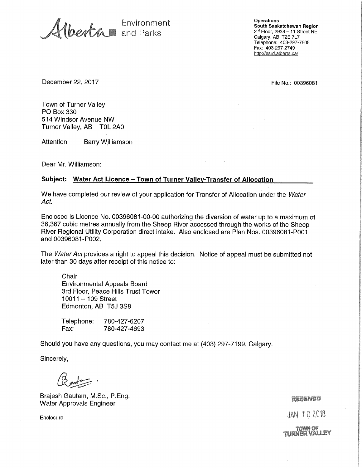Environment and Parks

**Operations South Saskatchewan Region**  2nd Floor, 2938 — 11 Street NE Calgary, AB T2E 7L7 Telephone: 403-297-7605 Fax: 403-297-2749 http://esrd.alberta.ca/

**December 22, 2017** File No.: 00396081

Town of Turner Valley PO Box 330 514 Windsor Avenue NW Turner Valley, AB TOL 2A0

Attention: Barry Williamson

Dear Mr. Williamson:

#### **Subject: Water Act Licence — Town of Turner Valley-Transfer of Allocation**

We have completed our review of your application for Transfer of Allocation under the Water Act.

Enclosed is Licence No. 00396081-00-00 authorizing the diversion of water up to a maximum of 36,367 cubic metres annually from the Sheep River accessed through the works of the Sheep River Regional Utility Corporation direct intake. Also enclosed are Plan Nos. 00396081-P001 and 00396081-P002.

The *Water Act* provides a right to appeal this decision. Notice of appeal must be submitted not later than 30 days after receipt of this notice to:

**Chair** Environmental Appeals Board 3rd Floor, Peace Hills Trust Tower 10011 —109 Street Edmonton, AB T5J 3S8

Telephone: 780-427-6207 Fax: 780-427-4693

Should you have any questions, you may contact me at (403) 297-7199, Calgary.

Sincerely,

Brajesh Gautam, M.Sc., P.Eng. Water Approvals Engineer

#### **REGENED**

JAN 102016

Enclosure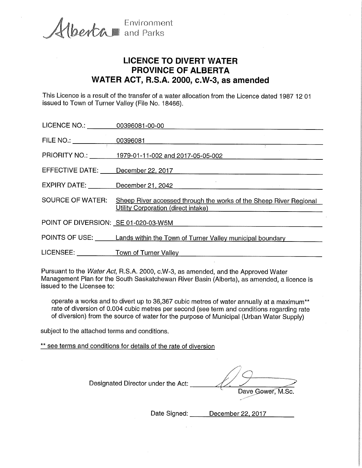berta and Parks

Environment

# **LICENCE TO DIVERT WATER PROVINCE OF ALBERTA WATER ACT, R.S.A. 2000, c.W-3, as amended**

This Licence is a result of the transfer of a water allocation from the Licence dated 1987 12 01 issued to Town of Turner Valley (File No. 18466).

| LICENCE NO.: 00396081-00-00          |                                                                                                           |
|--------------------------------------|-----------------------------------------------------------------------------------------------------------|
| FILE NO.:                            |                                                                                                           |
|                                      | PRIORITY NO.: 1979-01-11-002 and 2017-05-05-002                                                           |
| EFFECTIVE DATE: December 22, 2017    |                                                                                                           |
| EXPIRY DATE: December 21, 2042       |                                                                                                           |
| <b>SOURCE OF WATER:</b>              | Sheep River accessed through the works of the Sheep River Regional<br>Utility Corporation (direct intake) |
| POINT OF DIVERSION: SE 01-020-03-W5M |                                                                                                           |
|                                      | POINTS OF USE: Lands within the Town of Turner Valley municipal boundary                                  |
|                                      | LICENSEE: <u>______________Town of Turner Valley _________________________________</u>                    |
|                                      |                                                                                                           |

Pursuant to the Water Act, R.S.A. 2000, c.W-3, as amended, and the Approved Water Management Plan for the South Saskatchewan River Basin (Alberta), as amended, a licence is issued to the Licensee to:

operate a works and to divert up to 36,367 cubic metres of water annually at a maximum\*\* rate of diversion of 0.004 cubic metres per second (see term and conditions regarding rate of diversion) from the source of water for the purpose of Municipal (Urban Water Supply)

subject to the attached terms and conditions.

\*\* see terms and conditions for details of the rate of diversion

Designated Director under the Act: Dave Gower, M.Sc.

Date Signed: December 22, 2017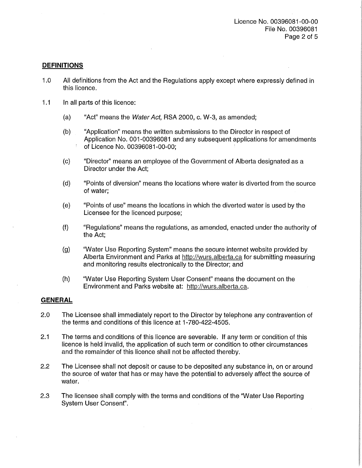## **DEFINITIONS**

- 1.0 All definitions from the Act and the Regulations apply except where expressly defined in this licence.
- 1.1 In all parts of this licence:
	- (a) "Act" means the Water Act, RSA 2000, c. W-3, as amended;
	- (b) "Application" means the written submissions to the Director in respect of Application No. 001-00396081 and any subsequent applications for amendments of Licence No. 00396081-00-00;
	- (c) "Director" means an employee of the Government of Alberta designated as a Director under the Act;
	- (d) "Points of diversion" means the locations where water is diverted from the source of water;
	- (e) "Points of use" means the locations in which the diverted water is used by the Licensee for the licenced purpose;
	- (f) "Regulations" means the regulations, as amended, enacted under the authority of the Act;
	- (g) 'Water Use Reporting System" means the secure internet website provided by Alberta Environment and Parks at http://wurs.alberta.ca for submitting measuring and monitoring results electronically to the Director; and
	- (h) 'Water Use Reporting System User Consent" means the document on the Environment and Parks website at: http://wurs.alberta.ca.

### **GENERAL**

- 2.0 The Licensee shall immediately report to the Director by telephone any contravention of the terms and conditions of this licence at 1-780-422-4505.
- 2.1 The terms and conditions of this licence are severable. If any term or condition of this licence is held invalid, the application of such term or condition to other circumstances and the remainder of this licence shall not be affected thereby.
- 2.2 The Licensee shall not deposit or cause to be deposited any substance in, on or around the source of water that has or may have the potential to adversely affect the source of water.
- 2.3 The licensee shall comply with the terms and conditions of the 'Water Use Reporting System User Consent".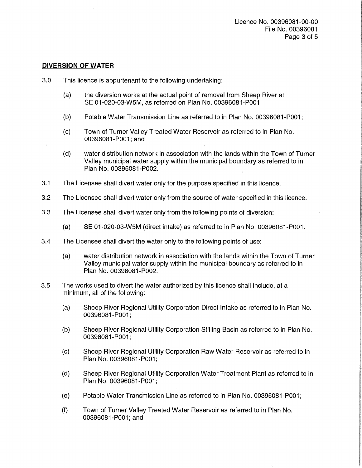### **DIVERSION OF WATER**

- 3.0 This licence is appurtenant to the following undertaking:
	- (a) the diversion works at the actual point of removal from Sheep River at SE 01-020-03-W5M, as referred on Plan No. 00396081-P001;
	- (b) Potable Water Transmission Line as referred to in Plan No. 00396081-P001;
	- (c) Town of Turner Valley Treated Water Reservoir as referred to in Plan No. 00396081-P001; and
	- (d) water distribution network in association with the lands within the Town of Turner Valley municipal water supply within the municipal boundary as referred to in Plan No. 00396081-P002.
- 3.1 The Licensee shall divert water only for the purpose specified in this licence.
- 3.2 The Licensee shall divert water only from the source of water specified in this licence.
- 3.3 The Licensee shall divert water only from the following points of diversion:
	- (a) SE 01-020-03-W5M (direct intake) as referred to in Plan No. 00396081-P001.
- 3.4 The Licensee shall divert the water only to the following points of use:
	- (a) water distribution network in association with the lands within the Town of Turner Valley municipal water supply within the municipal boundary as referred to in Plan No. 00396081-P002.
- 3.5 The works used to divert the water authorized by this licence shall include, at a minimum, all of the following:
	- (a) Sheep River Regional Utility Corporation Direct Intake as referred to in Plan No. 00396081-P001;
	- (b) Sheep River Regional Utility Corporation Stilling Basin as referred to in Plan No. 00396081-P001;
	- (c) Sheep River Regional Utility Corporation Raw Water Reservoir as referred to in Plan No. 00396081-P001;
	- (d) Sheep River Regional Utility Corporation Water Treatment Plant as referred to in Plan No. 00396081-P001;
	- (e) Potable Water Transmission Line as referred to in Plan No. 00396081-P001;
	- (f) Town of Turner Valley Treated Water Reservoir as referred to in Plan No. 00396081-P001; and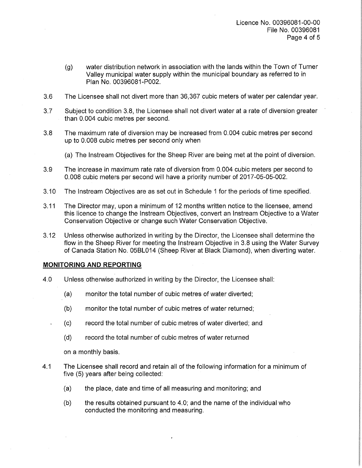- (g) water distribution network in association with the lands within the Town of Turner Valley municipal water supply within the municipal boundary as referred to in Plan No. 00396081-P002.
- 3.6 The Licensee shall not divert more than 36,367 cubic meters of water per calendar year.
- 3.7 Subject to condition 3.8, the Licensee shall not divert water at a rate of diversion greater than 0.004 cubic metres per second.
- 3.8 The maximum rate of diversion may be increased from 0.004 cubic metres per second up to 0.008 cubic metres per second only when
	- (a) The lnstream Objectives for the Sheep River are being met at the point of diversion.
- 3.9 The increase in maximum rate rate of diversion from 0.004 cubic meters per second to 0.008 cubic meters per second will have a priority number of 2017-05-05-002.
- 3.10 The lnstream Objectives are as set out in Schedule 1 for the periods of time specified.
- 3.11 The Director may, upon a minimum of 12 months written notice to the licensee, amend this licence to change the lnstream Objectives, convert an lnstream Objective to a Water Conservation Objective or change such Water Conservation Objective.
- 3.12 Unless otherwise authorized in writing by the Director, the Licensee shall determine the flow in the Sheep River for meeting the lnstream Objective in 3.8 using the Water Survey of Canada Station No. 05BL014 (Sheep River at Black Diamond), when diverting water.

### **MONITORING AND REPORTING**

- 4.0 Unless otherwise authorized in writing by the Director, the Licensee shall:
	- (a) monitor the total number of cubic metres of water diverted;
	- (b) monitor the total number of cubic metres of water returned;
	- (c) record the total number of cubic metres of water diverted; and
	- (d) record the total number of cubic metres of water returned

on a monthly basis.

- 4.1 The Licensee shall record and retain all of the following information for a minimum of five (5) years after being collected:
	- (a) the place, date and time of all measuring and monitoring; and
	- (b) the results obtained pursuant to 4.0; and the name of the individual who conducted the monitoring and measuring.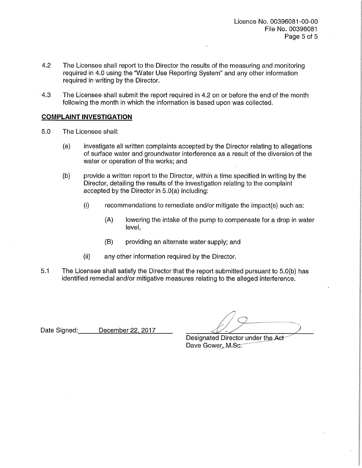- 4.2 The Licensee shall report to the Director the results of the measuring and monitoring required in 4.0 using the 'Water Use Reporting System" and any other information required in writing by the Director.
- 4.3 The Licensee shall submit the report required in 4.2 on or before the end of the month following the month in which the information is based upon was collected.

## **COMPLAINT INVESTIGATION**

- 5.0 The Licensee shall:
	- (a) investigate all written complaints accepted by the Director relating to allegations of surface water and groundwater interference as a result of the diversion of the water or operation of the works; and
	- (b) provide a written report to the Director, within a time specified in writing by the Director, detailing the results of the investigation relating to the complaint accepted by the Director in 5.0(a) including:
		- (i) recommendations to remediate and/or mitigate the impact(s) such as:
			- (A) lowering the intake of the pump to compensate for a drop in water level,
			- (B) providing an alternate water supply; and
		- (ii) any other information required by the Director.
- 5.1 The Licensee shall satisfy the Director that the report submitted pursuant to 5.0(b) has identified remedial and/or mitigative measures relating to the alleged interference.

Date Signed: December 22, 2017

Designated Director under the Aet-Dave Gower, M-Sc.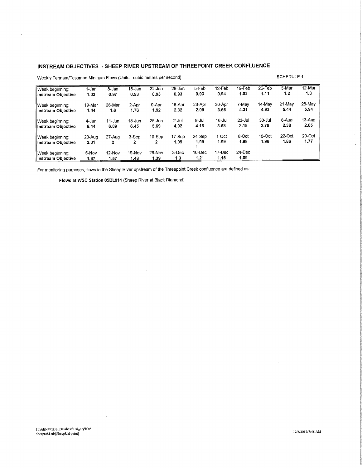## **INSTREAM OBJECTIVES - SHEEP RIVER UPSTREAM OF THREEPOINT CREEK CONFLUENCE**

| Week beginning:                                 | 1-Jan         | 8-Jan          | 15-Jan         | $22 - Jan$     | 29-Jan       | 5-Feb          | $12$ -Feb      | $19$ -Feb      | $26$ -Feb | 5-Mar  | 12-Mar |
|-------------------------------------------------|---------------|----------------|----------------|----------------|--------------|----------------|----------------|----------------|-----------|--------|--------|
| llinstream Objective                            | 1.03          | 0.97           | 0.93           | 0.93           | 0.93         | 0.93           | 0.94           | 1.02           | 1.11      | 1,2    | 1.3    |
| Week beginning:                                 | 19-Mar        | 26-Mar         | 2-Apr          | 9-Apr          | 16-Apr       | 23-Apr         | 30-Apr         | 7-May          | 14-May    | 21-May | 28-May |
| Instream Objective                              | 1.44          | 1.6            | 1.76           | 1.92           | 2.32         | 2.99           | 3.65           | 4.31           | 4.93      | 5.44   | 5.94   |
| llWeek beainnina:                               | 4-Jun         | 11-Jun         | 18-Jun         | $25 - Jun$     | $2 -$ Jul    | 9-Jul          | 16-Jul         | $23 -$ Jul     | 30-Jul    | 6-Aug  | 13-Aug |
| llinstream Objective                            | 6.44          | 6.89           | 6.45           | 5.69           | 4.92         | 4.16           | 3.58           | 3.18           | 2.78      | 2.38   | 2.05   |
| <b>IlWeek beginning:</b>                        | 20-Aug        | 27-Aug         | 3-Sep          | $10-Sep$       | 17-Sep       | 24-Sep         | 1-Oct          | 8-Oct          | $15-Oct$  | 22-Oct | 29-Oct |
| <b>Illnstream Objective</b>                     | 2.01          | 2              | 2              | 2              | 1.99         | 1.99           | 1.99           | 1.99           | 1.96      | 1.86   | 1.77   |
| <b>Il</b> Week beginning:<br>Instream Objective | 5-Nov<br>1.67 | 12-Nov<br>1.57 | 19-Nov<br>1.48 | 26-Nov<br>1.39 | 3-Dec<br>1.3 | 10-Dec<br>1.21 | 17-Dec<br>1.15 | 24-Dec<br>1.09 |           |        |        |

Weekly Tennant/Tessman Mininum Flows (Units: cubic metres per second) **SCHEDULE 1 SCHEDULE 1** 

 $\sim$   $\sim$ 

For monitoring purposes, flows in the Sheep River upstream of the Threepoint Creek confluence are defined as:

**Flows at WSC Station 05BL014** (Sheep River at Black Diamond)

 $\lambda$ 

 $\epsilon$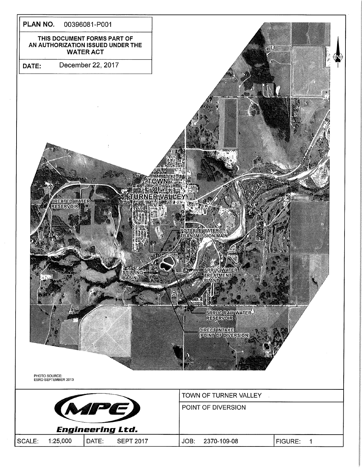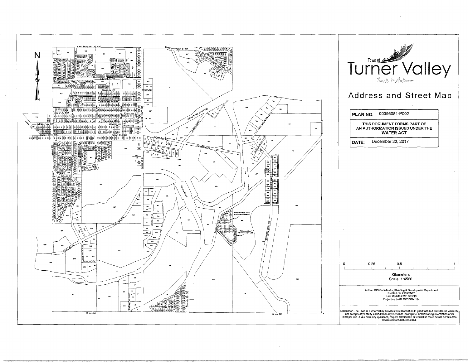